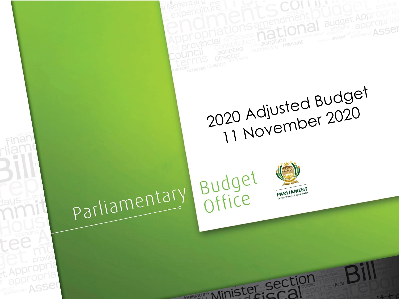

t Appropria appropria

ervice ASSer



regislature Minister section

2020 Adjusted Budget<br>11 November 2020

**Budget Appropr** appropria **ASSer**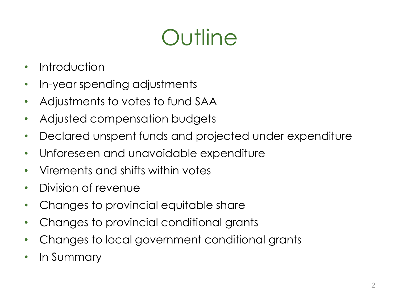# **Outline**

- Introduction
- In-year spending adjustments
- Adjustments to votes to fund SAA
- Adjusted compensation budgets
- Declared unspent funds and projected under expenditure
- Unforeseen and unavoidable expenditure
- Virements and shifts within votes
- Division of revenue
- Changes to provincial equitable share
- Changes to provincial conditional grants
- Changes to local government conditional grants
- In Summary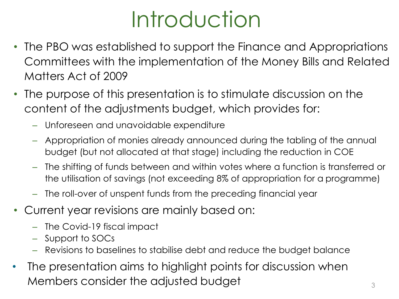# Introduction

- The PBO was established to support the Finance and Appropriations Committees with the implementation of the Money Bills and Related Matters Act of 2009
- The purpose of this presentation is to stimulate discussion on the content of the adjustments budget, which provides for:
	- Unforeseen and unavoidable expenditure
	- Appropriation of monies already announced during the tabling of the annual budget (but not allocated at that stage) including the reduction in COE
	- The shifting of funds between and within votes where a function is transferred or the utilisation of savings (not exceeding 8% of appropriation for a programme)
	- The roll-over of unspent funds from the preceding financial year
- Current year revisions are mainly based on:
	- The Covid-19 fiscal impact
	- Support to SOCs
	- Revisions to baselines to stabilise debt and reduce the budget balance
- The presentation aims to highlight points for discussion when Members consider the adjusted budget  $\overline{\phantom{a}}_3$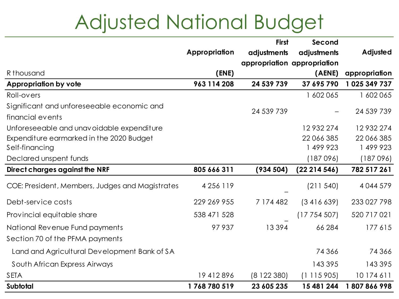## Adjusted National Budget

|                                                 |               | <b>First</b> | Second                      |               |
|-------------------------------------------------|---------------|--------------|-----------------------------|---------------|
|                                                 | Appropriation | adjustments  | adjustments                 | Adjusted      |
|                                                 |               |              | appropriation appropriation |               |
| R thousand                                      | (ENE)         |              | (AENE)                      | appropriation |
| <b>Appropriation by vote</b>                    | 963 114 208   | 24 539 739   | 37 695 790                  | 1025 349 737  |
| Roll-overs                                      |               |              | 1 602 065                   | 1 602 065     |
| Significant and unforeseeable economic and      |               | 24 539 739   |                             | 24 539 739    |
| financial events                                |               |              |                             |               |
| Unforeseeable and unavoidable expenditure       |               |              | 12932274                    | 12932274      |
| Expenditure earmarked in the 2020 Budget        |               |              | 22 066 385                  | 22 066 385    |
| Self-financing                                  |               |              | 1 499 923                   | 1 499 923     |
| Declared unspent funds                          |               |              | (187096)                    | (187096)      |
| Direct charges against the NRF                  | 805 666 311   | (934504)     | (2221454)                   | 782 517 261   |
| COE: President, Members, Judges and Magistrates | 4 2 5 6 1 1 9 |              | (211540)                    | 4044579       |
| Debt-service costs                              | 229 269 955   | 7 174 482    | (3416639)                   | 233 027 798   |
| Provincial equitable share                      | 538 471 528   |              | (17754507)                  | 520 717 021   |
| National Revenue Fund payments                  | 97937         | 13394        | 66 284                      | 177615        |
| Section 70 of the PFMA payments                 |               |              |                             |               |
| Land and Agricultural Development Bank of SA    |               |              | 74366                       | 74366         |
| South African Express Airways                   |               |              | 143395                      | 143 395       |
| <b>SETA</b>                                     | 19412896      | (8122380)    | (1115905)                   | 10 174 611    |
| Subtotal                                        | 1768780519    | 23 605 235   | 15 481 244                  | 1807866998    |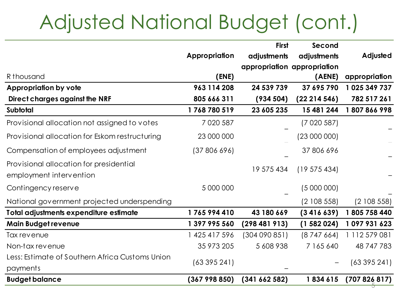## Adjusted National Budget (cont.)

|                                                 |               | <b>First</b> | Second                      |               |
|-------------------------------------------------|---------------|--------------|-----------------------------|---------------|
|                                                 | Appropriation | adjustments  | adjustments                 | Adjusted      |
|                                                 |               |              | appropriation appropriation |               |
| R thousand                                      | (ENE)         |              | (AENE)                      | appropriation |
| <b>Appropriation by vote</b>                    | 963 114 208   | 24 539 739   | 37 695 790                  | 1 025 349 737 |
| Direct charges against the NRF                  | 805 666 311   | (934504)     | (22214546)                  | 782 517 261   |
| Subtotal                                        | 1768780519    | 23 605 235   | 15 481 244                  | 1807866998    |
| Provisional allocation not assigned to votes    | 7 0 20 5 87   |              | (7020587)                   |               |
| Provisional allocation for Eskom restructuring  | 23 000 000    |              | (23 000 000)                |               |
| Compensation of employees adjustment            | (37 806 696)  |              | 37 806 696                  |               |
| Provisional allocation for presidential         |               |              |                             |               |
| employment intervention                         |               | 19 575 434   | (19575434)                  |               |
| Contingency reserve                             | 5 000 000     |              | (5000000)                   |               |
| National government projected underspending     |               |              | (2108558)                   | (2108558)     |
| Total adjustments expenditure estimate          | 1765994410    | 43 180 669   | (3416639)                   | 1805 758 440  |
| <b>Main Budget revenue</b>                      | 1 397 995 560 | (298481913)  | (1582024)                   | 1097931623    |
| Tax revenue                                     | 1 425 417 596 | (304090851)  | (8747664)                   | 1 112 579 081 |
| Non-tax revenue                                 | 35 973 205    | 5 608 938    | 7 165 640                   | 48 747 783    |
| Less: Estimate of Southern Africa Customs Union |               |              |                             |               |
| payments                                        | (63395241)    |              |                             | (63395241)    |
| <b>Budget balance</b>                           | (367998850)   | (341662582)  | 1834615                     | (707826817)   |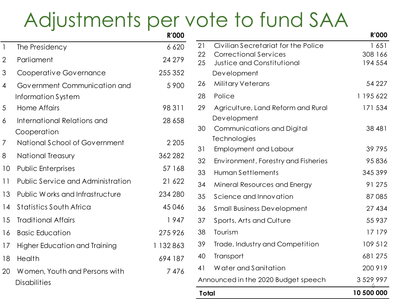### Adjustments per vote to fund SAA

|                |                                            | <b>R'000</b> |              |                                                                   | <b>R'000</b>       |
|----------------|--------------------------------------------|--------------|--------------|-------------------------------------------------------------------|--------------------|
|                | The Presidency                             | 6 6 20       | 21           | Civilian Secretariat for the Police                               | 1651               |
| $\overline{2}$ | Parliament                                 | 24 279       | 22<br>25     | <b>Correctional Services</b><br><b>Justice and Constitutional</b> | 308 166<br>194 554 |
| 3              | Cooperative Governance                     | 255 352      |              | Development                                                       |                    |
| 4              | Government Communication and               | 5 9 0 0      | 26           | Military Veterans                                                 | 54 227             |
|                | Information System                         |              | 28           | Police                                                            | 1 195 622          |
| 5              | <b>Home Affairs</b>                        | 98311        | 29           | Agriculture, Land Reform and Rural                                | 171 534            |
| 6              | International Relations and<br>Cooperation | 28 6 58      | 30           | Development<br>Communications and Digital                         | 38 481             |
| 7              | National School of Government              | 2 2 0 5      |              | Technologies                                                      |                    |
| 8              | <b>National Treasury</b>                   | 362 282      | 31           | <b>Employment and Labour</b>                                      | 39 7 9 5           |
| 10             | <b>Public Enterprises</b>                  | 57 168       | 32           | Environment, Forestry and Fisheries                               | 95836              |
|                |                                            |              | 33           | Human Settlements                                                 | 345 399            |
| 11             | <b>Public Service and Administration</b>   | 21 622       | 34           | Mineral Resources and Energy                                      | 91 275             |
| 13             | Public Works and Infrastructure            | 234 280      | 35           | Science and Innovation                                            | 87085              |
| 14             | <b>Statistics South Africa</b>             | 45046        | 36           | <b>Small Business Development</b>                                 | 27 434             |
| 15             | <b>Traditional Affairs</b>                 | 1947         | 37           | Sports, Arts and Culture                                          | 55 937             |
| 16             | <b>Basic Education</b>                     | 275926       | 38           | Tourism                                                           | 17 179             |
| 17             | <b>Higher Education and Training</b>       | 1 132 863    | 39           | Trade, Industry and Competition                                   | 109 512            |
| 18             | Health                                     | 694 187      | 40           | Transport                                                         | 681 275            |
| 20             | Women, Youth and Persons with              | 7476         | 41           | Water and Sanitation                                              | 200 919            |
|                | <b>Disabilities</b>                        |              |              | Announced in the 2020 Budget speech                               | 3 5 29 9 9 7       |
|                |                                            |              | <b>Total</b> |                                                                   | 10 500 000         |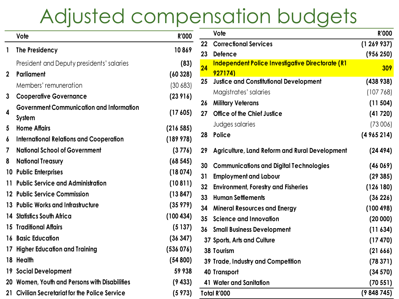### Adjusted compensation budgets

|                | Vote                                            | <b>R'000</b> |                 | Vote                                             | <b>R'000</b> |
|----------------|-------------------------------------------------|--------------|-----------------|--------------------------------------------------|--------------|
|                |                                                 |              | 22              | <b>Correctional Services</b>                     | (1269937)    |
|                | 1 The Presidency                                | 10869        | 23              | <b>Defence</b>                                   | (956 250)    |
|                | President and Deputy presidents' salaries       | (83)         | 24              | Independent Police Investigative Directorate (R1 | 309          |
| $\overline{2}$ | Parliament                                      | (60328)      |                 | 927174)                                          |              |
|                | Members' remuneration                           | (30683)      | 25              | <b>Justice and Constitutional Development</b>    | (438938)     |
| 3              | <b>Cooperative Governance</b>                   | (23916)      |                 | Magistrates' salaries                            | (107768)     |
|                | <b>Government Communication and Information</b> |              | 26              | <b>Military Veterans</b>                         | (11 504)     |
| 4              | System                                          | (17605)      | 27              | Office of the Chief Justice                      | (41720)      |
| 5              | <b>Home Affairs</b>                             | (216585)     |                 | Judges salaries                                  | (73006)      |
| 6              | <b>International Relations and Cooperation</b>  | (189978)     |                 | 28 Police                                        | (4965214)    |
| 7              | <b>National School of Government</b>            | (3776)       | 29              | Agriculture, Land Reform and Rural Development   | (24494)      |
|                | <b>8</b> National Treasury                      | (68545)      | 30              | <b>Communications and Digital Technologies</b>   | (46069)      |
|                | 10 Public Enterprises                           | (18074)      | 31              | <b>Employment and Labour</b>                     | (29385)      |
|                | 11 Public Service and Administration            | (10811)      | 32              | <b>Environment, Forestry and Fisheries</b>       | (126180)     |
|                | 12 Public Service Commission                    | (13847)      | 33 <sub>°</sub> | <b>Human Settlements</b>                         | (36 226)     |
|                | 13 Public Works and Infrastructure              | (35979)      | 34              | <b>Mineral Resources and Energy</b>              | (100 498)    |
|                | 14 Statistics South Africa                      | (100 434)    |                 | 35 Science and Innovation                        | (20000)      |
|                | <b>15 Traditional Affairs</b>                   | (5137)       |                 | <b>36 Small Business Development</b>             | (11 634)     |
|                | <b>16 Basic Education</b>                       | (36347)      |                 | 37 Sports, Arts and Culture                      | (17 470)     |
|                | 17 Higher Education and Training                | (536 076)    |                 | 38 Tourism                                       | (21666)      |
|                | 18 Health                                       | (54800)      |                 | 39 Trade, Industry and Competition               | (78371)      |
|                | <b>19 Social Development</b>                    | 59 938       |                 | <b>40 Transport</b>                              | (34 570)     |
|                | 20 Women, Youth and Persons with Disabilities   | (9433)       |                 | 41 Water and Sanitation                          | (70551)      |
|                | 21 Civilian Secretariat for the Police Service  | (5973)       |                 | Total R'000                                      | (9848745)    |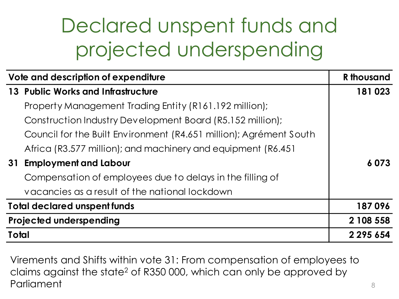## Declared unspent funds and projected underspending

| Vote and description of expenditure                                | <b>R</b> thousand |
|--------------------------------------------------------------------|-------------------|
| 13 Public Works and Infrastructure                                 | 181023            |
| Property Management Trading Entity (R161.192 million);             |                   |
| Construction Industry Development Board (R5.152 million);          |                   |
| Council for the Built Environment (R4.651 million); Agrément South |                   |
| Africa (R3.577 million); and machinery and equipment (R6.451)      |                   |
| <b>Employment and Labour</b><br>31                                 | 6073              |
| Compensation of employees due to delays in the filling of          |                   |
| vacancies as a result of the national lockdown                     |                   |
| <b>Total declared unspent funds</b>                                | 187096            |
| <b>Projected underspending</b>                                     | 2 108 558         |
| Total                                                              | 2 2 9 5 6 5 4     |

Virements and Shifts within vote 31: From compensation of employees to claims against the state<sup>2</sup> of R350 000, which can only be approved by **Parliament**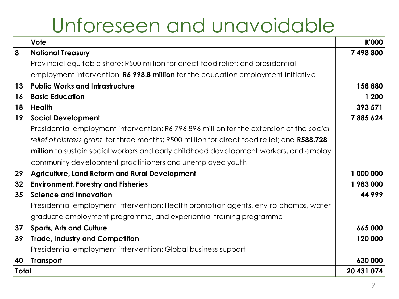### Unforeseen and unavoidable

|                 | Vote                                                                                         | <b>R'000</b> |
|-----------------|----------------------------------------------------------------------------------------------|--------------|
| 8               | <b>National Treasury</b>                                                                     | 7498800      |
|                 | Provincial equitable share: R500 million for direct food relief; and presidential            |              |
|                 | employment intervention: R6 998.8 million for the education employment initiative            |              |
| 13              | <b>Public Works and Infrastructure</b>                                                       | 158880       |
| 16              | <b>Basic Education</b>                                                                       | 1 200        |
| 18              | Health                                                                                       | 393 571      |
| 19              | <b>Social Development</b>                                                                    | 7885624      |
|                 | Presidential employment intervention: R6 796.896 million for the extension of the social     |              |
|                 | relief of distress grant for three months; R500 million for direct food relief; and R588.728 |              |
|                 | <b>million</b> to sustain social workers and early childhood development workers, and employ |              |
|                 | community development practitioners and unemployed youth                                     |              |
| 29              | <b>Agriculture, Land Reform and Rural Development</b>                                        | 1 000 000    |
| 32 <sub>2</sub> | <b>Environment, Forestry and Fisheries</b>                                                   | 1983000      |
| 35              | <b>Science and Innovation</b>                                                                | 44999        |
|                 | Presidential employment intervention: Health promotion agents, enviro-champs, water          |              |
|                 | graduate employment programme, and experiential training programme                           |              |
| 37              | <b>Sports, Arts and Culture</b>                                                              | 665000       |
| 39              | <b>Trade, Industry and Competition</b>                                                       | 120 000      |
|                 | Presidential employment intervention: Global business support                                |              |
| 40              | <b>Transport</b>                                                                             | 630 000      |
| <b>Total</b>    |                                                                                              | 20 431 074   |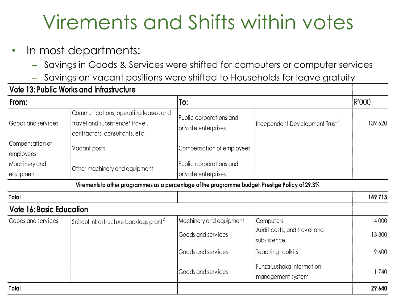## Virements and Shifts within votes

- In most departments:
	- Savings in Goods & Services were shifted for computers or computer services
	- Savings on vacant positions were shifted to Households for leave gratuity

|                                 | <b>Vote 13: Public Works and Infrastructure</b>                                                                                                                                                             |                                                |                                                |         |
|---------------------------------|-------------------------------------------------------------------------------------------------------------------------------------------------------------------------------------------------------------|------------------------------------------------|------------------------------------------------|---------|
| From:                           |                                                                                                                                                                                                             | To:                                            |                                                | R'000   |
| Goods and services              | Communications, operating leases, and<br>Public corporations and<br>travel and subsistence <sup>1</sup> travel,<br>Independent Development Trust '<br>private enterprises<br>contractors, consultants, etc. |                                                | 139 620                                        |         |
| Compensation of<br>employees    | Vacant posts                                                                                                                                                                                                | Compensation of employees                      |                                                |         |
| Machinery and<br>equipment      | Other machinery and equipment                                                                                                                                                                               | Public corporations and<br>private enterprises |                                                |         |
|                                 | Virements to other programmes as a percentage of the programme budget: Prestige Policy of 29.3%                                                                                                             |                                                |                                                |         |
| Total                           |                                                                                                                                                                                                             |                                                |                                                | 149713  |
| <b>Vote 16: Basic Education</b> |                                                                                                                                                                                                             |                                                |                                                |         |
| Goods and services              | School infrastructure backlogs grant <sup>2</sup>                                                                                                                                                           | Machinery and equipment                        | Computers                                      | 4 0 0 0 |
|                                 |                                                                                                                                                                                                             | Goods and services                             | Audit costs, and travel and<br>subsistence     | 13 300  |
|                                 |                                                                                                                                                                                                             | Goods and services                             | Teaching toolkits                              | 9 600   |
|                                 |                                                                                                                                                                                                             | Goods and services                             | Funza Lushaka information<br>management system | 1740    |
| Total                           |                                                                                                                                                                                                             |                                                |                                                | 29 640  |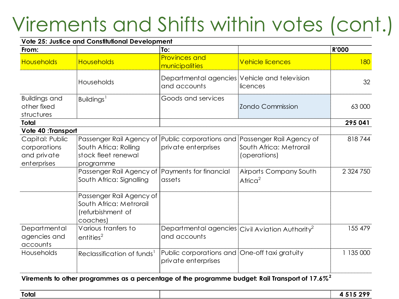## Virements and Shifts within votes (cont.)

#### **Vote 25: Justice and Constitutional Development From: To: R'000** Households Households Provinces and municipalities 180 Households Departmental agencies Vehicle and television and accounts licences 32 Buildings and other fixed structures Buildings<sup>1</sup> Goods and services Zondo Commission 63 000 **Total 295 041**  Capital: Public corporations and private enterprises Passenger Rail Agency of |Public corporations and |Passenger Rail Agency of South Africa: Rolling stock fleet renewal programme private enterprises South Africa: Metrorail (operations) 818 744 Passenger Rail Agency of Payments for financial South Africa: Signalling assets Airports Company South Afric $a^2$  2 324 750 Passenger Rail Agency of South Africa: Metrorail (refurbishment of coaches) **Departmental** agencies and accounts Various tranfers to  $entities<sup>2</sup>$ Departmental agencies $|$ Civil Aviation Authority $^2$ and accounts 155 479 Households Reclassification of funds<sup>1</sup> Public corporations and One-off taxi gratuity 1 135 000 private enterprises **Vote 40 :Transport**

#### **Virements to other programmes as a percentage of the programme budget: Rail Transport of 17.6%<sup>2</sup>**

| Total | $F$ 000<br>---<br>- - |
|-------|-----------------------|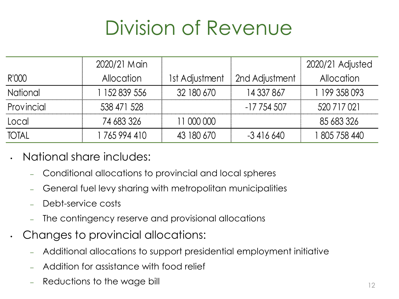## Division of Revenue

|                 | 2020/21 Main      |                |                | 2020/21 Adjusted  |
|-----------------|-------------------|----------------|----------------|-------------------|
| R'000           | <b>Allocation</b> | 1st Adjustment | 2nd Adjustment | <b>Allocation</b> |
| <b>National</b> | 152 839 556       | 32 180 670     | 14 337 867     | 199 358 093       |
| Provincial      | 538 471 528       |                | $-17754507$    | 520 717 021       |
| Local           | 74 683 326        | 11 000 000     |                | 85 683 326        |
| <b>TOTAL</b>    | 765 994 410       | 43 180 670     | $-3416640$     | l 805 758 440     |

- National share includes:
	- Conditional allocations to provincial and local spheres
	- General fuel levy sharing with metropolitan municipalities
	- Debt-service costs
	- The contingency reserve and provisional allocations
	- Changes to provincial allocations:
		- Additional allocations to support presidential employment initiative
		- Addition for assistance with food relief
		- Reductions to the wage bill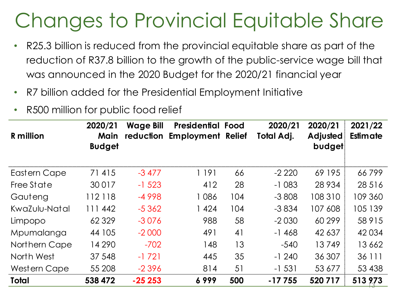## Changes to Provincial Equitable Share

- R25.3 billion is reduced from the provincial equitable share as part of the reduction of R37.8 billion to the growth of the public-service wage bill that was announced in the 2020 Budget for the 2020/21 financial year
- R7 billion added for the Presidential Employment Initiative
- R500 million for public food relief

| <b>R</b> million | 2020/21<br>Main<br><b>Budget</b> | <b>Wage Bill</b> | <b>Presidential Food</b><br>reduction Employment Relief |     | 2020/21<br>Total Adj. | 2020/21<br>Adjusted<br>budget | 2021/22<br>Estimate |
|------------------|----------------------------------|------------------|---------------------------------------------------------|-----|-----------------------|-------------------------------|---------------------|
| Eastern Cape     | 71415                            | $-3477$          | 1 191                                                   | 66  | $-2220$               | 69 195                        | 66799               |
| Free State       | 30017                            | $-1523$          | 412                                                     | 28  | $-1083$               | 28 9 34                       | 28 5 16             |
| Gauteng          | 112118                           | $-4998$          | 1086                                                    | 104 | $-3808$               | 108 310                       | 109 360             |
| KwaZulu-Natal    | 111 442                          | $-5362$          | 1424                                                    | 104 | $-3834$               | 107 608                       | 105 139             |
| Limpopo          | 62329                            | $-3076$          | 988                                                     | 58  | $-2030$               | 60 299                        | 58 915              |
| Mpumalanga       | 44 105                           | $-2000$          | 491                                                     | 41  | $-1468$               | 42 637                        | 42034               |
| Northern Cape    | 14 290                           | $-702$           | 148                                                     | 13  | $-540$                | 13749                         | 13662               |
| North West       | 37 548                           | $-1721$          | 445                                                     | 35  | $-1240$               | 36 307                        | 36 111              |
| Western Cape     | 55 208                           | $-2396$          | 814                                                     | 51  | $-1531$               | 53 677                        | 53 438              |
| <b>Total</b>     | 538 472                          | $-25253$         | 6999                                                    | 500 | $-17755$              | 520717                        | 513 973             |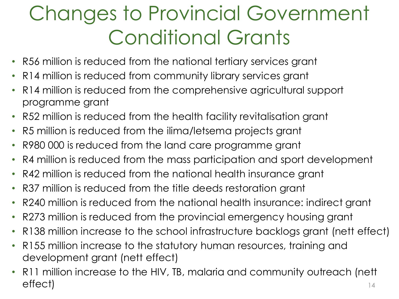## Changes to Provincial Government Conditional Grants

- R56 million is reduced from the national tertiary services grant
- R14 million is reduced from community library services grant
- R14 million is reduced from the comprehensive agricultural support programme grant
- R52 million is reduced from the health facility revitalisation grant
- R5 million is reduced from the ilima/letsema projects grant
- R980 000 is reduced from the land care programme grant
- R4 million is reduced from the mass participation and sport development
- R42 million is reduced from the national health insurance grant
- R37 million is reduced from the title deeds restoration grant
- R240 million is reduced from the national health insurance: indirect grant
- R273 million is reduced from the provincial emergency housing grant
- R138 million increase to the school infrastructure backlogs grant (nett effect)
- R155 million increase to the statutory human resources, training and development grant (nett effect)
- 14 • R11 million increase to the HIV, TB, malaria and community outreach (nett effect)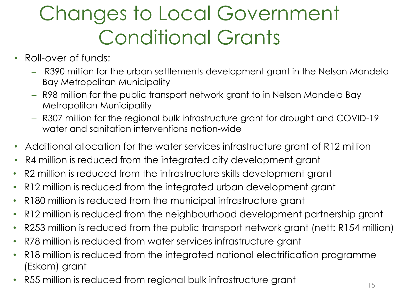## Changes to Local Government Conditional Grants

- Roll-over of funds:
	- R390 million for the urban settlements development grant in the Nelson Mandela Bay Metropolitan Municipality
	- R98 million for the public transport network grant to in Nelson Mandela Bay Metropolitan Municipality
	- R307 million for the regional bulk infrastructure grant for drought and COVID-19 water and sanitation interventions nation-wide
- Additional allocation for the water services infrastructure grant of R12 million
- R4 million is reduced from the integrated city development grant
- R2 million is reduced from the infrastructure skills development grant
- R12 million is reduced from the integrated urban development grant
- R180 million is reduced from the municipal infrastructure grant
- R12 million is reduced from the neighbourhood development partnership grant
- R253 million is reduced from the public transport network grant (nett: R154 million)
- R78 million is reduced from water services infrastructure grant
- R18 million is reduced from the integrated national electrification programme (Eskom) grant
- R55 million is reduced from regional bulk infrastructure grant  $\frac{15}{15}$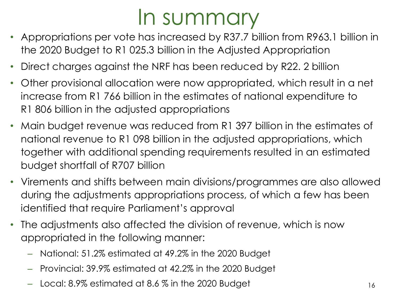## In summary

- Appropriations per vote has increased by R37.7 billion from R963.1 billion in the 2020 Budget to R1 025.3 billion in the Adjusted Appropriation
- Direct charges against the NRF has been reduced by R22. 2 billion
- Other provisional allocation were now appropriated, which result in a net increase from R1 766 billion in the estimates of national expenditure to R1 806 billion in the adjusted appropriations
- Main budget revenue was reduced from R1 397 billion in the estimates of national revenue to R1 098 billion in the adjusted appropriations, which together with additional spending requirements resulted in an estimated budget shortfall of R707 billion
- Virements and shifts between main divisions/programmes are also allowed during the adjustments appropriations process, of which a few has been identified that require Parliament's approval
- The adjustments also affected the division of revenue, which is now appropriated in the following manner:
	- National: 51.2% estimated at 49.2% in the 2020 Budget
	- Provincial: 39.9% estimated at 42.2% in the 2020 Budget
	- Local:  $8.9\%$  estimated at  $8.6\%$  in the 2020 Budget 16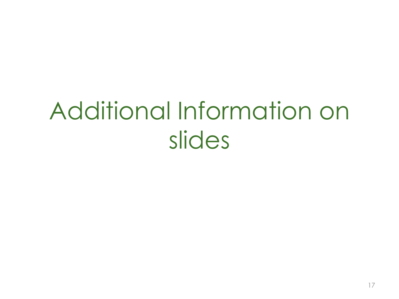# Additional Information on slides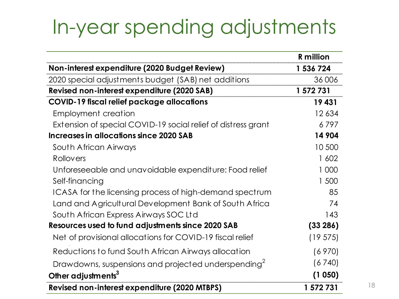### In-year spending adjustments

|                                                                 | <b>R</b> million |
|-----------------------------------------------------------------|------------------|
| Non-interest expenditure (2020 Budget Review)                   | 1 536 724        |
| 2020 special adjustments budget (SAB) net additions             | 36 006           |
| Revised non-interest expenditure (2020 SAB)                     | 1 572 731        |
| <b>COVID-19 fiscal relief package allocations</b>               | 19431            |
| <b>Employment creation</b>                                      | 12634            |
| Extension of special COVID-19 social relief of distress grant   | 6797             |
| Increases in allocations since 2020 SAB                         | 14 904           |
| South African Airways                                           | 10 500           |
| Rollovers                                                       | 1602             |
| Unforeseeable and unavoidable expenditure: Food relief          | 1 000            |
| Self-financing                                                  | 1 500            |
| ICASA for the licensing process of high-demand spectrum         | 85               |
| Land and Agricultural Development Bank of South Africa          | 74               |
| South African Express Airways SOC Ltd                           | 143              |
| Resources used to fund adjustments since 2020 SAB               | (33 286)         |
| Net of provisional allocations for COVID-19 fiscal relief       | (19575)          |
| Reductions to fund South African Airways allocation             | (6970)           |
| Drawdowns, suspensions and projected underspending <sup>2</sup> | (6740)           |
| Other adjustments <sup>3</sup>                                  | (1050)           |
| Revised non-interest expenditure (2020 MTBPS)                   | 1 572 731        |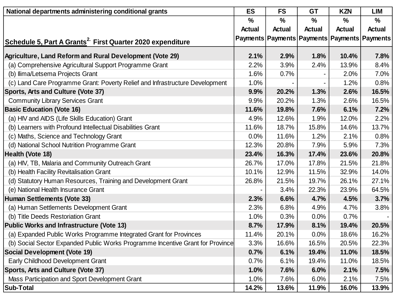| National departments administering conditional grants                          | <b>ES</b>     | <b>FS</b>     | <b>GT</b>     | <b>KZN</b>                                           | <b>LIM</b>    |
|--------------------------------------------------------------------------------|---------------|---------------|---------------|------------------------------------------------------|---------------|
|                                                                                | $\frac{0}{0}$ | $\frac{0}{0}$ | $\frac{0}{0}$ | $\frac{0}{0}$                                        | $\frac{0}{0}$ |
|                                                                                | <b>Actual</b> | <b>Actual</b> | <b>Actual</b> | <b>Actual</b>                                        | <b>Actual</b> |
| Schedule 5, Part A Grants <sup>2</sup> First Quarter 2020 expenditure          |               |               |               | Payments   Payments   Payments   Payments   Payments |               |
| Agriculture, Land Reform and Rural Development (Vote 29)                       | 2.1%          | 2.9%          | 1.8%          | 10.4%                                                | 7.8%          |
| (a) Comprehensive Agricultural Support Programme Grant                         | 2.2%          | 3.9%          | 2.4%          | 13.9%                                                | 8.4%          |
| (b) Ilima/Letsema Projects Grant                                               | 1.6%          | 0.7%          |               | 2.0%                                                 | 7.0%          |
| (c) Land Care Programme Grant: Poverty Relief and Infrastructure Development   | 1.0%          |               |               | 1.2%                                                 | 0.8%          |
| Sports, Arts and Culture (Vote 37)                                             | 9.9%          | 20.2%         | 1.3%          | 2.6%                                                 | 16.5%         |
| <b>Community Library Services Grant</b>                                        | 9.9%          | 20.2%         | 1.3%          | 2.6%                                                 | 16.5%         |
| <b>Basic Education (Vote 16)</b>                                               | 11.6%         | 19.8%         | 7.6%          | 6.1%                                                 | 7.2%          |
| (a) HIV and AIDS (Life Skills Education) Grant                                 | 4.9%          | 12.6%         | 1.9%          | 12.0%                                                | 2.2%          |
| (b) Learners with Profound Intellectual Disabilities Grant                     | 11.6%         | 18.7%         | 15.8%         | 14.6%                                                | 13.7%         |
| (c) Maths, Science and Technology Grant                                        | 0.0%          | 11.6%         | 1.2%          | 2.1%                                                 | 0.8%          |
| (d) National School Nutrition Programme Grant                                  | 12.3%         | 20.8%         | 7.9%          | 5.9%                                                 | 7.3%          |
| Health (Vote 18)                                                               | 23.4%         | 16.3%         | 17.4%         | 23.6%                                                | 20.8%         |
| (a) HIV, TB, Malaria and Community Outreach Grant                              | 26.7%         | 17.0%         | 17.8%         | 21.5%                                                | 21.8%         |
| (b) Health Facility Revitalisation Grant                                       | 10.1%         | 12.9%         | 11.5%         | 32.9%                                                | 14.0%         |
| (d) Statutory Human Resources, Training and Development Grant                  | 26.8%         | 21.5%         | 19.7%         | 26.1%                                                | 27.1%         |
| (e) National Health Insurance Grant                                            |               | 3.4%          | 22.3%         | 23.9%                                                | 64.5%         |
| Human Settlements (Vote 33)                                                    | 2.3%          | 6.6%          | 4.7%          | 4.5%                                                 | 3.7%          |
| (a) Human Settlements Development Grant                                        | 2.3%          | 6.8%          | 4.9%          | 4.7%                                                 | 3.8%          |
| (b) Title Deeds Restoriation Grant                                             | 1.0%          | 0.3%          | 0.0%          | 0.7%                                                 |               |
| <b>Public Works and Infrastructure (Vote 13)</b>                               | 8.7%          | 17.9%         | 8.1%          | 19.4%                                                | 20.5%         |
| (a) Expanded Public Works Programme Integrated Grant for Provinces             | 11.4%         | 20.1%         | 0.0%          | 18.6%                                                | 16.2%         |
| (b) Social Sector Expanded Public Works Programme Incentive Grant for Province | 3.3%          | 16.6%         | 16.5%         | 20.5%                                                | 22.3%         |
| <b>Social Development (Vote 19)</b>                                            | 0.7%          | 6.1%          | 19.4%         | 11.0%                                                | 18.5%         |
| Early Childhood Development Grant                                              | 0.7%          | 6.1%          | 19.4%         | 11.0%                                                | 18.5%         |
| <b>Sports, Arts and Culture (Vote 37)</b>                                      | 1.0%          | 7.6%          | 6.0%          | 2.1%                                                 | 7.5%          |
| Mass Participation and Sport Development Grant                                 | 1.0%          | 7.6%          | 6.0%          | 2.1%                                                 | 7.5%          |
| <b>Sub-Total</b>                                                               | 14.2%         | 13.6%         | 11.9%         | 16.0%                                                | 13.9%         |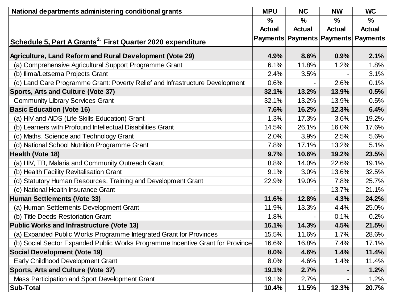| National departments administering conditional grants                          | <b>MPU</b>    | <b>NC</b>     | <b>NW</b>     | <b>WC</b>                                 |
|--------------------------------------------------------------------------------|---------------|---------------|---------------|-------------------------------------------|
|                                                                                | $\frac{0}{0}$ | $\frac{1}{2}$ | %             | $\%$                                      |
|                                                                                | <b>Actual</b> | <b>Actual</b> | <b>Actual</b> | <b>Actual</b>                             |
| Schedule 5, Part A Grants <sup>2</sup> First Quarter 2020 expenditure          |               |               |               | Payments   Payments   Payments   Payments |
|                                                                                |               |               |               |                                           |
| Agriculture, Land Reform and Rural Development (Vote 29)                       | 4.9%          | 8.6%          | 0.9%          | 2.1%                                      |
| (a) Comprehensive Agricultural Support Programme Grant                         | 6.1%          | 11.8%         | 1.2%          | 1.8%                                      |
| (b) Ilima/Letsema Projects Grant                                               | 2.4%          | 3.5%          |               | 3.1%                                      |
| (c) Land Care Programme Grant: Poverty Relief and Infrastructure Development   | 0.6%          |               | 2.6%          | 0.1%                                      |
| Sports, Arts and Culture (Vote 37)                                             | 32.1%         | 13.2%         | 13.9%         | 0.5%                                      |
| <b>Community Library Services Grant</b>                                        | 32.1%         | 13.2%         | 13.9%         | 0.5%                                      |
| <b>Basic Education (Vote 16)</b>                                               | 7.6%          | 16.2%         | 12.3%         | 6.4%                                      |
| (a) HIV and AIDS (Life Skills Education) Grant                                 | 1.3%          | 17.3%         | 3.6%          | 19.2%                                     |
| (b) Learners with Profound Intellectual Disabilities Grant                     | 14.5%         | 26.1%         | 16.0%         | 17.6%                                     |
| (c) Maths, Science and Technology Grant                                        | 2.0%          | 3.9%          | 2.5%          | 5.6%                                      |
| (d) National School Nutrition Programme Grant                                  | 7.8%          | 17.1%         | 13.2%         | 5.1%                                      |
| Health (Vote 18)                                                               | 9.7%          | 10.6%         | 19.2%         | 23.5%                                     |
| (a) HIV, TB, Malaria and Community Outreach Grant                              | 8.8%          | 14.0%         | 22.6%         | 19.1%                                     |
| (b) Health Facility Revitalisation Grant                                       | 9.1%          | 3.0%          | 13.6%         | 32.5%                                     |
| (d) Statutory Human Resources, Training and Development Grant                  | 22.9%         | 19.0%         | 7.8%          | 25.7%                                     |
| (e) National Health Insurance Grant                                            |               |               | 13.7%         | 21.1%                                     |
| Human Settlements (Vote 33)                                                    | 11.6%         | 12.8%         | 4.3%          | 24.2%                                     |
| (a) Human Settlements Development Grant                                        | 11.9%         | 13.3%         | 4.4%          | 25.0%                                     |
| (b) Title Deeds Restoriation Grant                                             | 1.8%          |               | 0.1%          | 0.2%                                      |
| <b>Public Works and Infrastructure (Vote 13)</b>                               | 16.1%         | 14.3%         | 4.5%          | 21.5%                                     |
| (a) Expanded Public Works Programme Integrated Grant for Provinces             | 15.5%         | 11.6%         | 1.7%          | 28.6%                                     |
| (b) Social Sector Expanded Public Works Programme Incentive Grant for Province | 16.6%         | 16.8%         | 7.4%          | 17.1%                                     |
| <b>Social Development (Vote 19)</b>                                            | 8.0%          | 4.6%          | 1.4%          | 11.4%                                     |
| <b>Early Childhood Development Grant</b>                                       | 8.0%          | 4.6%          | 1.4%          | 11.4%                                     |
| Sports, Arts and Culture (Vote 37)                                             | 19.1%         | 2.7%          |               | 1.2%                                      |
| Mass Participation and Sport Development Grant                                 | 19.1%         | 2.7%          |               | 1.2%                                      |
| <b>Sub-Total</b>                                                               | 10.4%         | 11.5%         | 12.3%         | 20.7%                                     |